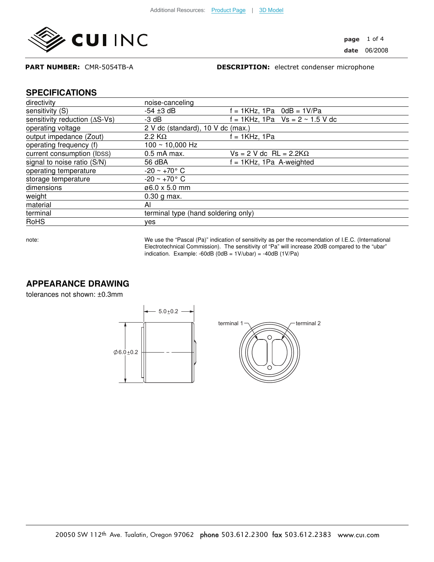

#### PART NUMBER: CMR-5054TB-A

DESCRIPTION: electret condenser microphone

#### **SPECIFICATIONS**

| directivity                             | noise-canceling                     |                                      |
|-----------------------------------------|-------------------------------------|--------------------------------------|
| sensitivity (S)                         | $-54 \pm 3$ dB                      | $f = 1KHz$ , 1Pa $0dB = 1V/Pa$       |
| sensitivity reduction $( \Delta S$ -Vs) | $-3$ dB                             | f = 1KHz, 1Pa $Vs = 2 \sim 1.5 V$ dc |
| operating voltage                       | 2 V dc (standard), 10 V dc (max.)   |                                      |
| output impedance (Zout)                 | 2.2 K $\Omega$                      | = 1KHz, 1Pa                          |
| operating frequency (f)                 | $100 \sim 10,000$ Hz                |                                      |
| current consumption (IDSS)              | $0.5$ mA max.                       | $Vs = 2 V dc RL = 2.2 K\Omega$       |
| signal to noise ratio (S/N)             | 56 dBA                              | $f = 1KHz$ , 1Pa A-weighted          |
| operating temperature                   | $-20 \sim +70^{\circ}$ C            |                                      |
| storage temperature                     | $-20 \sim +70^{\circ}$ C            |                                      |
| dimensions                              | ø6.0 x 5.0 mm                       |                                      |
| weight                                  | $0.30$ g max.                       |                                      |
| material                                | ΑI                                  |                                      |
| terminal                                | terminal type (hand soldering only) |                                      |
| <b>RoHS</b>                             | ves                                 |                                      |

note: We use the "Pascal (Pa)" indication of sensitivity as per the recomendation of I.E.C. (International Electrotechnical Commission). The sensitivity of "Pa" will increase 20dB compared to the "ubar" indication. Example: -60dB  $(0dB = 1V/ubar) = -40dB (1V/Pa)$ 

## **APPEARANCE DRAWING**

tolerances not shown: ±0.3mm

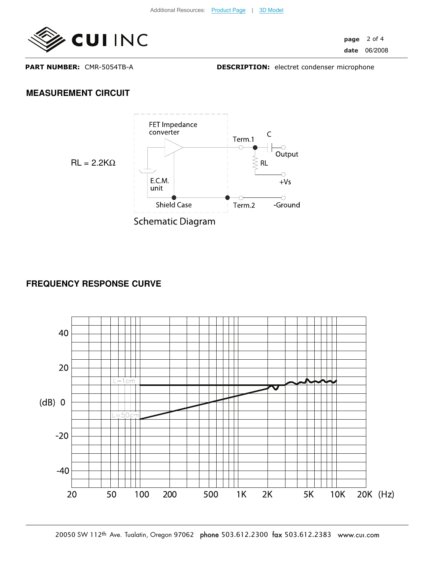

page 2 of 4 date 06/2008

PART NUMBER: CMR-5054TB-A

DESCRIPTION: electret condenser microphone

## **MEASUREMENT CIRCUIT**



## **FREQUENCY RESPONSE CURVE**

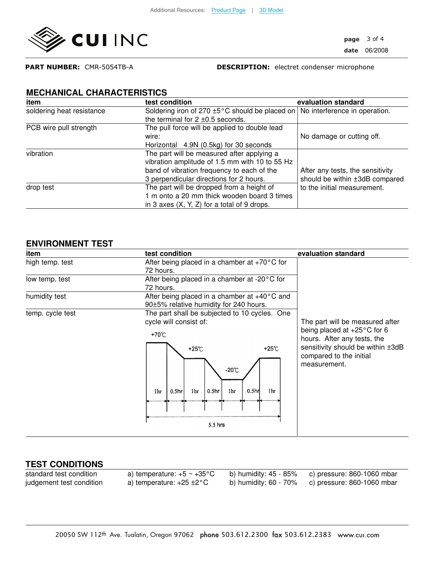

page 3 of 4 date 06/2008

PART NUMBER: CMR-5054TB-A

DESCRIPTION: electret condenser microphone

## **MECHANICAL CHARACTERISTICS**

| item                      | test condition                                 | evaluation standard              |
|---------------------------|------------------------------------------------|----------------------------------|
| soldering heat resistance | Soldering iron of 270 ±5°C should be placed on | No interference in operation.    |
|                           | the terminal for $2 \pm 0.5$ seconds.          |                                  |
| PCB wire pull strength    | The pull force will be applied to double lead  |                                  |
|                           | wire:                                          | No damage or cutting off.        |
|                           | Horizontal 4.9N (0.5kg) for 30 seconds         |                                  |
| vibration                 | The part will be measured after applying a     |                                  |
|                           | vibration amplitude of 1.5 mm with 10 to 55 Hz |                                  |
|                           | band of vibration frequency to each of the     | After any tests, the sensitivity |
|                           | 3 perpendicular directions for 2 hours.        | should be within ±3dB compared   |
| drop test                 | The part will be dropped from a height of      | to the initial measurement.      |
|                           | 1 m onto a 20 mm thick wooden board 3 times    |                                  |
|                           | in 3 axes $(X, Y, Z)$ for a total of 9 drops.  |                                  |

#### **ENVIRONMENT TEST**

| item             | test condition                                                                                                                              | evaluation standard                                                                                                                                                                     |
|------------------|---------------------------------------------------------------------------------------------------------------------------------------------|-----------------------------------------------------------------------------------------------------------------------------------------------------------------------------------------|
| high temp. test  | After being placed in a chamber at $+70^{\circ}$ C for                                                                                      |                                                                                                                                                                                         |
|                  | 72 hours.                                                                                                                                   | The part will be measured after<br>being placed at $+25^{\circ}$ C for 6<br>hours. After any tests, the<br>sensitivity should be within ±3dB<br>compared to the initial<br>measurement. |
| low temp. test   | After being placed in a chamber at -20°C for                                                                                                |                                                                                                                                                                                         |
|                  | 72 hours.                                                                                                                                   |                                                                                                                                                                                         |
| humidity test    | After being placed in a chamber at $+40^{\circ}$ C and                                                                                      |                                                                                                                                                                                         |
|                  | 90±5% relative humidity for 240 hours.                                                                                                      |                                                                                                                                                                                         |
| temp. cycle test | The part shall be subjected to 10 cycles. One                                                                                               |                                                                                                                                                                                         |
|                  | cycle will consist of:                                                                                                                      |                                                                                                                                                                                         |
|                  | +70℃                                                                                                                                        |                                                                                                                                                                                         |
|                  | +25 $°C$<br>+25°C<br>$-20^{\circ}$ C<br>0.5 <sub>hr</sub><br>1hr<br>0.5 <sub>hr</sub><br>1 <sub>hr</sub><br>0.5 <sub>hr</sub><br>1hr<br>1hr |                                                                                                                                                                                         |
|                  | $5.5$ hrs                                                                                                                                   |                                                                                                                                                                                         |
|                  |                                                                                                                                             |                                                                                                                                                                                         |

# **TEST CONDITIONS**

standard test condition a) temperature:  $+5 \sim +35^{\circ}$ C b) humidity:  $45 - 85\%$  c) pressure: 860-1060 mbar<br>judgement test condition a) temperature:  $+25 \pm 2^{\circ}$ C b) humidity: 60 - 70% c) pressure: 860-1060 mbar judgement test condition a) temperature: +25 ±2°C b) humidity: 60 - 70% c) pressure: 860-1060 mbar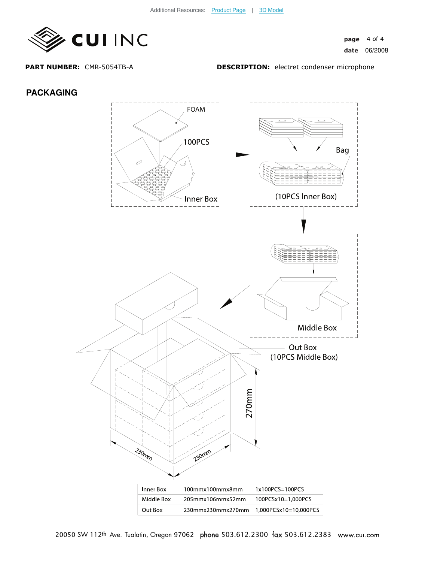

page date 4 of 4 06/2008

PART NUMBER: CMR-5054TB-A

DESCRIPTION: electret condenser microphone

#### **PACKAGING**